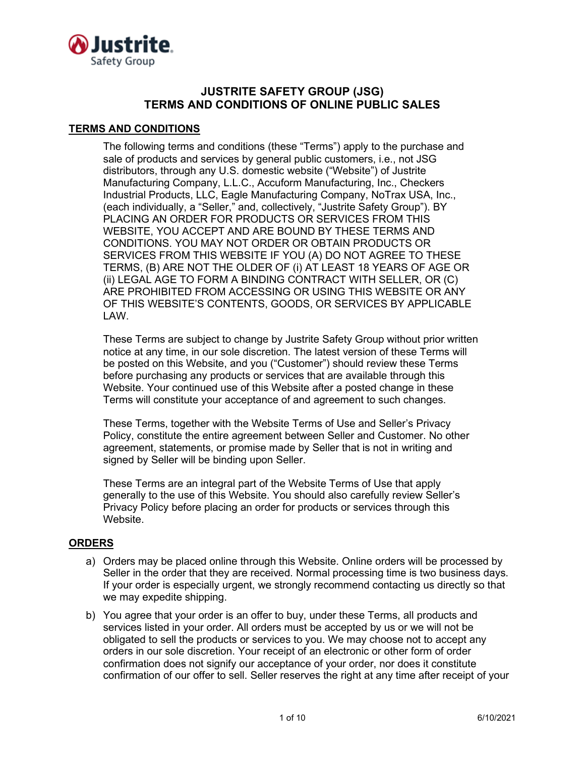

# **JUSTRITE SAFETY GROUP (JSG) TERMS AND CONDITIONS OF ONLINE PUBLIC SALES**

### **TERMS AND CONDITIONS**

The following terms and conditions (these "Terms") apply to the purchase and sale of products and services by general public customers, i.e., not JSG distributors, through any U.S. domestic website ("Website") of Justrite Manufacturing Company, L.L.C., Accuform Manufacturing, Inc., Checkers Industrial Products, LLC, Eagle Manufacturing Company, NoTrax USA, Inc., (each individually, a "Seller," and, collectively, "Justrite Safety Group"). BY PLACING AN ORDER FOR PRODUCTS OR SERVICES FROM THIS WEBSITE, YOU ACCEPT AND ARE BOUND BY THESE TERMS AND CONDITIONS. YOU MAY NOT ORDER OR OBTAIN PRODUCTS OR SERVICES FROM THIS WEBSITE IF YOU (A) DO NOT AGREE TO THESE TERMS, (B) ARE NOT THE OLDER OF (i) AT LEAST 18 YEARS OF AGE OR (ii) LEGAL AGE TO FORM A BINDING CONTRACT WITH SELLER, OR (C) ARE PROHIBITED FROM ACCESSING OR USING THIS WEBSITE OR ANY OF THIS WEBSITE'S CONTENTS, GOODS, OR SERVICES BY APPLICABLE LAW.

These Terms are subject to change by Justrite Safety Group without prior written notice at any time, in our sole discretion. The latest version of these Terms will be posted on this Website, and you ("Customer") should review these Terms before purchasing any products or services that are available through this Website. Your continued use of this Website after a posted change in these Terms will constitute your acceptance of and agreement to such changes.

These Terms, together with the Website Terms of Use and Seller's Privacy Policy, constitute the entire agreement between Seller and Customer. No other agreement, statements, or promise made by Seller that is not in writing and signed by Seller will be binding upon Seller.

These Terms are an integral part of the Website Terms of Use that apply generally to the use of this Website. You should also carefully review Seller's Privacy Policy before placing an order for products or services through this Website.

# **ORDERS**

- a) Orders may be placed online through this Website. Online orders will be processed by Seller in the order that they are received. Normal processing time is two business days. If your order is especially urgent, we strongly recommend contacting us directly so that we may expedite shipping.
- b) You agree that your order is an offer to buy, under these Terms, all products and services listed in your order. All orders must be accepted by us or we will not be obligated to sell the products or services to you. We may choose not to accept any orders in our sole discretion. Your receipt of an electronic or other form of order confirmation does not signify our acceptance of your order, nor does it constitute confirmation of our offer to sell. Seller reserves the right at any time after receipt of your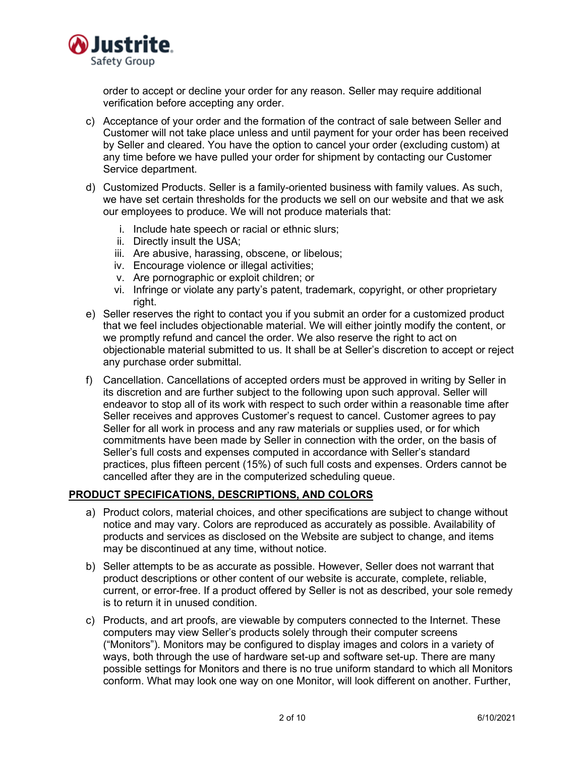

order to accept or decline your order for any reason. Seller may require additional verification before accepting any order.

- c) Acceptance of your order and the formation of the contract of sale between Seller and Customer will not take place unless and until payment for your order has been received by Seller and cleared. You have the option to cancel your order (excluding custom) at any time before we have pulled your order for shipment by contacting our Customer Service department.
- d) Customized Products. Seller is a family-oriented business with family values. As such, we have set certain thresholds for the products we sell on our website and that we ask our employees to produce. We will not produce materials that:
	- i. Include hate speech or racial or ethnic slurs;
	- ii. Directly insult the USA;
	- iii. Are abusive, harassing, obscene, or libelous;
	- iv. Encourage violence or illegal activities;
	- v. Are pornographic or exploit children; or
	- vi. Infringe or violate any party's patent, trademark, copyright, or other proprietary right.
- e) Seller reserves the right to contact you if you submit an order for a customized product that we feel includes objectionable material. We will either jointly modify the content, or we promptly refund and cancel the order. We also reserve the right to act on objectionable material submitted to us. It shall be at Seller's discretion to accept or reject any purchase order submittal.
- f) Cancellation. Cancellations of accepted orders must be approved in writing by Seller in its discretion and are further subject to the following upon such approval. Seller will endeavor to stop all of its work with respect to such order within a reasonable time after Seller receives and approves Customer's request to cancel. Customer agrees to pay Seller for all work in process and any raw materials or supplies used, or for which commitments have been made by Seller in connection with the order, on the basis of Seller's full costs and expenses computed in accordance with Seller's standard practices, plus fifteen percent (15%) of such full costs and expenses. Orders cannot be cancelled after they are in the computerized scheduling queue.

### **PRODUCT SPECIFICATIONS, DESCRIPTIONS, AND COLORS**

- a) Product colors, material choices, and other specifications are subject to change without notice and may vary. Colors are reproduced as accurately as possible. Availability of products and services as disclosed on the Website are subject to change, and items may be discontinued at any time, without notice.
- b) Seller attempts to be as accurate as possible. However, Seller does not warrant that product descriptions or other content of our website is accurate, complete, reliable, current, or error-free. If a product offered by Seller is not as described, your sole remedy is to return it in unused condition.
- c) Products, and art proofs, are viewable by computers connected to the Internet. These computers may view Seller's products solely through their computer screens ("Monitors"). Monitors may be configured to display images and colors in a variety of ways, both through the use of hardware set-up and software set-up. There are many possible settings for Monitors and there is no true uniform standard to which all Monitors conform. What may look one way on one Monitor, will look different on another. Further,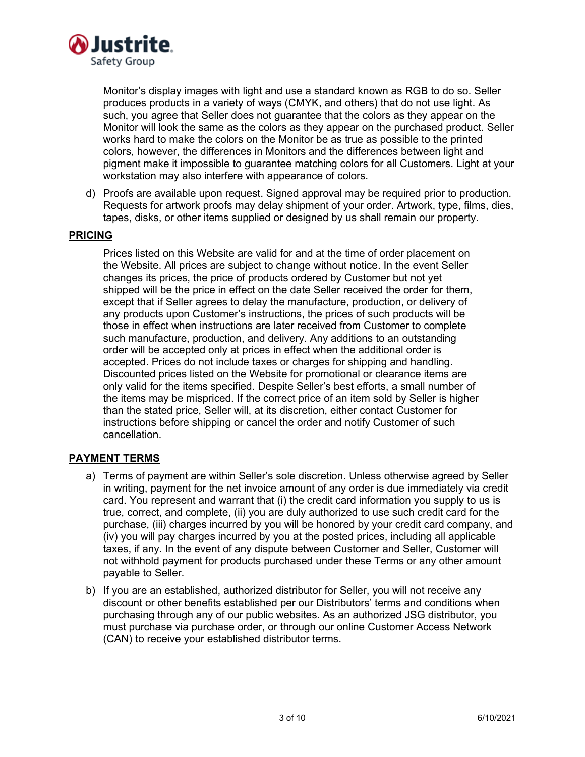

Monitor's display images with light and use a standard known as RGB to do so. Seller produces products in a variety of ways (CMYK, and others) that do not use light. As such, you agree that Seller does not guarantee that the colors as they appear on the Monitor will look the same as the colors as they appear on the purchased product. Seller works hard to make the colors on the Monitor be as true as possible to the printed colors, however, the differences in Monitors and the differences between light and pigment make it impossible to guarantee matching colors for all Customers. Light at your workstation may also interfere with appearance of colors.

d) Proofs are available upon request. Signed approval may be required prior to production. Requests for artwork proofs may delay shipment of your order. Artwork, type, films, dies, tapes, disks, or other items supplied or designed by us shall remain our property.

### **PRICING**

Prices listed on this Website are valid for and at the time of order placement on the Website. All prices are subject to change without notice. In the event Seller changes its prices, the price of products ordered by Customer but not yet shipped will be the price in effect on the date Seller received the order for them, except that if Seller agrees to delay the manufacture, production, or delivery of any products upon Customer's instructions, the prices of such products will be those in effect when instructions are later received from Customer to complete such manufacture, production, and delivery. Any additions to an outstanding order will be accepted only at prices in effect when the additional order is accepted. Prices do not include taxes or charges for shipping and handling. Discounted prices listed on the Website for promotional or clearance items are only valid for the items specified. Despite Seller's best efforts, a small number of the items may be mispriced. If the correct price of an item sold by Seller is higher than the stated price, Seller will, at its discretion, either contact Customer for instructions before shipping or cancel the order and notify Customer of such cancellation.

### **PAYMENT TERMS**

- a) Terms of payment are within Seller's sole discretion. Unless otherwise agreed by Seller in writing, payment for the net invoice amount of any order is due immediately via credit card. You represent and warrant that (i) the credit card information you supply to us is true, correct, and complete, (ii) you are duly authorized to use such credit card for the purchase, (iii) charges incurred by you will be honored by your credit card company, and (iv) you will pay charges incurred by you at the posted prices, including all applicable taxes, if any. In the event of any dispute between Customer and Seller, Customer will not withhold payment for products purchased under these Terms or any other amount payable to Seller.
- b) If you are an established, authorized distributor for Seller, you will not receive any discount or other benefits established per our Distributors' terms and conditions when purchasing through any of our public websites. As an authorized JSG distributor, you must purchase via purchase order, or through our online Customer Access Network (CAN) to receive your established distributor terms.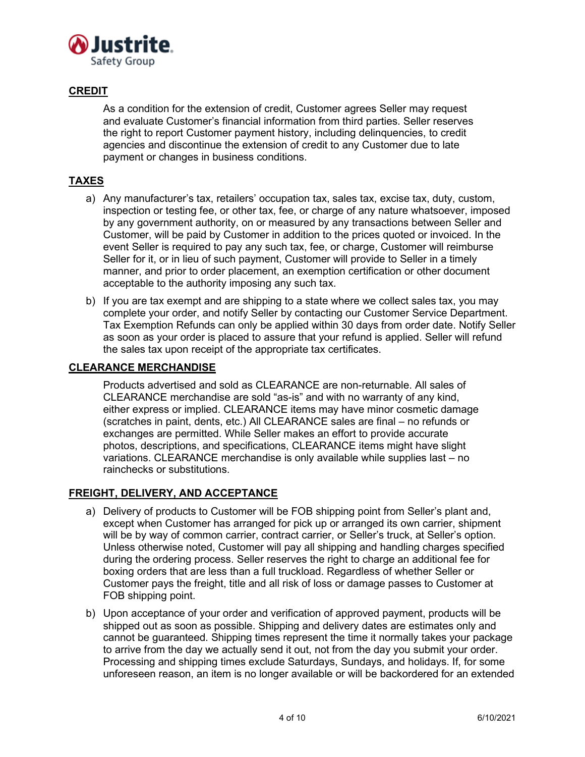

# **CREDIT**

As a condition for the extension of credit, Customer agrees Seller may request and evaluate Customer's financial information from third parties. Seller reserves the right to report Customer payment history, including delinquencies, to credit agencies and discontinue the extension of credit to any Customer due to late payment or changes in business conditions.

# **TAXES**

- a) Any manufacturer's tax, retailers' occupation tax, sales tax, excise tax, duty, custom, inspection or testing fee, or other tax, fee, or charge of any nature whatsoever, imposed by any government authority, on or measured by any transactions between Seller and Customer, will be paid by Customer in addition to the prices quoted or invoiced. In the event Seller is required to pay any such tax, fee, or charge, Customer will reimburse Seller for it, or in lieu of such payment, Customer will provide to Seller in a timely manner, and prior to order placement, an exemption certification or other document acceptable to the authority imposing any such tax.
- b) If you are tax exempt and are shipping to a state where we collect sales tax, you may complete your order, and notify Seller by contacting our Customer Service Department. Tax Exemption Refunds can only be applied within 30 days from order date. Notify Seller as soon as your order is placed to assure that your refund is applied. Seller will refund the sales tax upon receipt of the appropriate tax certificates.

### **CLEARANCE MERCHANDISE**

Products advertised and sold as CLEARANCE are non-returnable. All sales of CLEARANCE merchandise are sold "as-is" and with no warranty of any kind, either express or implied. CLEARANCE items may have minor cosmetic damage (scratches in paint, dents, etc.) All CLEARANCE sales are final – no refunds or exchanges are permitted. While Seller makes an effort to provide accurate photos, descriptions, and specifications, CLEARANCE items might have slight variations. CLEARANCE merchandise is only available while supplies last – no rainchecks or substitutions.

# **FREIGHT, DELIVERY, AND ACCEPTANCE**

- a) Delivery of products to Customer will be FOB shipping point from Seller's plant and, except when Customer has arranged for pick up or arranged its own carrier, shipment will be by way of common carrier, contract carrier, or Seller's truck, at Seller's option. Unless otherwise noted, Customer will pay all shipping and handling charges specified during the ordering process. Seller reserves the right to charge an additional fee for boxing orders that are less than a full truckload. Regardless of whether Seller or Customer pays the freight, title and all risk of loss or damage passes to Customer at FOB shipping point.
- b) Upon acceptance of your order and verification of approved payment, products will be shipped out as soon as possible. Shipping and delivery dates are estimates only and cannot be guaranteed. Shipping times represent the time it normally takes your package to arrive from the day we actually send it out, not from the day you submit your order. Processing and shipping times exclude Saturdays, Sundays, and holidays. If, for some unforeseen reason, an item is no longer available or will be backordered for an extended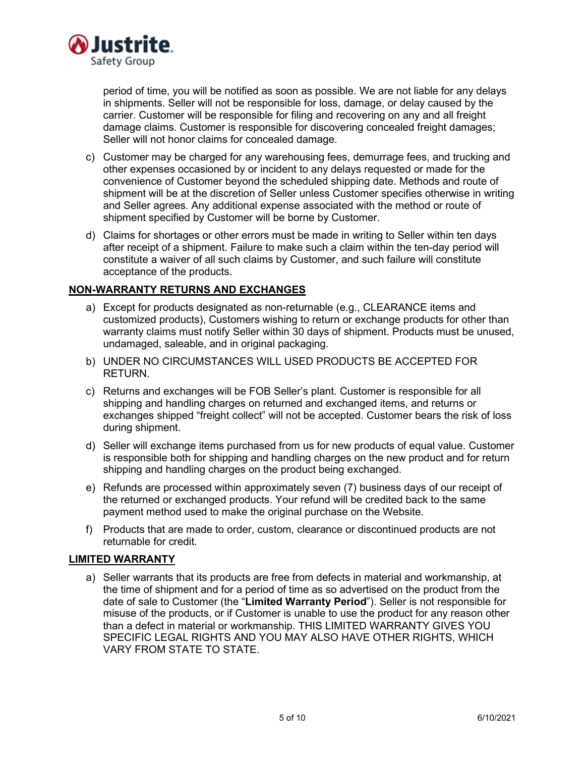

period of time, you will be notified as soon as possible. We are not liable for any delays in shipments. Seller will not be responsible for loss, damage, or delay caused by the carrier. Customer will be responsible for filing and recovering on any and all freight damage claims. Customer is responsible for discovering concealed freight damages; Seller will not honor claims for concealed damage.

- c) Customer may be charged for any warehousing fees, demurrage fees, and trucking and other expenses occasioned by or incident to any delays requested or made for the convenience of Customer beyond the scheduled shipping date. Methods and route of shipment will be at the discretion of Seller unless Customer specifies otherwise in writing and Seller agrees. Any additional expense associated with the method or route of shipment specified by Customer will be borne by Customer.
- d) Claims for shortages or other errors must be made in writing to Seller within ten days after receipt of a shipment. Failure to make such a claim within the ten-day period will constitute a waiver of all such claims by Customer, and such failure will constitute acceptance of the products.

# **NON-WARRANTY RETURNS AND EXCHANGES**

- a) Except for products designated as non-returnable (e.g., CLEARANCE items and customized products), Customers wishing to return or exchange products for other than warranty claims must notify Seller within 30 days of shipment. Products must be unused, undamaged, saleable, and in original packaging.
- b) UNDER NO CIRCUMSTANCES WILL USED PRODUCTS BE ACCEPTED FOR RETURN.
- c) Returns and exchanges will be FOB Seller's plant. Customer is responsible for all shipping and handling charges on returned and exchanged items, and returns or exchanges shipped "freight collect" will not be accepted. Customer bears the risk of loss during shipment.
- d) Seller will exchange items purchased from us for new products of equal value. Customer is responsible both for shipping and handling charges on the new product and for return shipping and handling charges on the product being exchanged.
- e) Refunds are processed within approximately seven (7) business days of our receipt of the returned or exchanged products. Your refund will be credited back to the same payment method used to make the original purchase on the Website.
- f) Products that are made to order, custom, clearance or discontinued products are not returnable for credit.

### **LIMITED WARRANTY**

a) Seller warrants that its products are free from defects in material and workmanship, at the time of shipment and for a period of time as so advertised on the product from the date of sale to Customer (the "**Limited Warranty Period**"). Seller is not responsible for misuse of the products, or if Customer is unable to use the product for any reason other than a defect in material or workmanship. THIS LIMITED WARRANTY GIVES YOU SPECIFIC LEGAL RIGHTS AND YOU MAY ALSO HAVE OTHER RIGHTS, WHICH VARY FROM STATE TO STATE.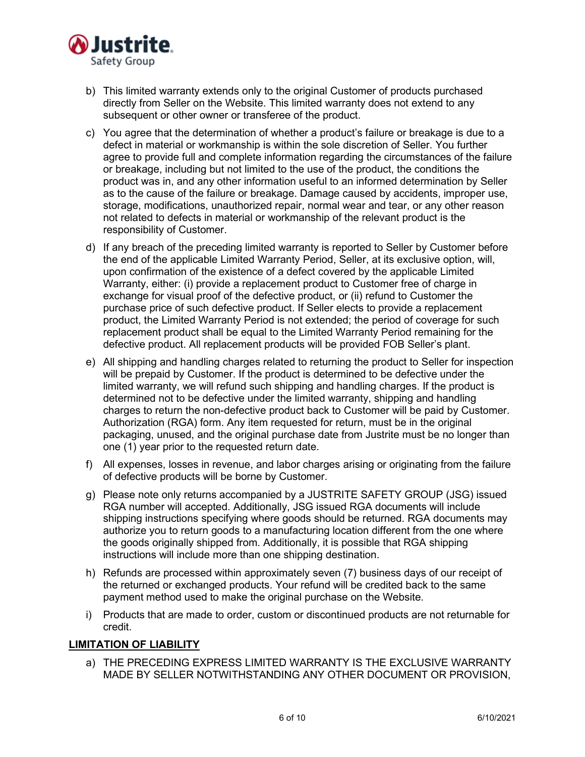

- b) This limited warranty extends only to the original Customer of products purchased directly from Seller on the Website. This limited warranty does not extend to any subsequent or other owner or transferee of the product.
- c) You agree that the determination of whether a product's failure or breakage is due to a defect in material or workmanship is within the sole discretion of Seller. You further agree to provide full and complete information regarding the circumstances of the failure or breakage, including but not limited to the use of the product, the conditions the product was in, and any other information useful to an informed determination by Seller as to the cause of the failure or breakage. Damage caused by accidents, improper use, storage, modifications, unauthorized repair, normal wear and tear, or any other reason not related to defects in material or workmanship of the relevant product is the responsibility of Customer.
- d) If any breach of the preceding limited warranty is reported to Seller by Customer before the end of the applicable Limited Warranty Period, Seller, at its exclusive option, will, upon confirmation of the existence of a defect covered by the applicable Limited Warranty, either: (i) provide a replacement product to Customer free of charge in exchange for visual proof of the defective product, or (ii) refund to Customer the purchase price of such defective product. If Seller elects to provide a replacement product, the Limited Warranty Period is not extended; the period of coverage for such replacement product shall be equal to the Limited Warranty Period remaining for the defective product. All replacement products will be provided FOB Seller's plant.
- e) All shipping and handling charges related to returning the product to Seller for inspection will be prepaid by Customer. If the product is determined to be defective under the limited warranty, we will refund such shipping and handling charges. If the product is determined not to be defective under the limited warranty, shipping and handling charges to return the non-defective product back to Customer will be paid by Customer. Authorization (RGA) form. Any item requested for return, must be in the original packaging, unused, and the original purchase date from Justrite must be no longer than one (1) year prior to the requested return date.
- f) All expenses, losses in revenue, and labor charges arising or originating from the failure of defective products will be borne by Customer.
- g) Please note only returns accompanied by a JUSTRITE SAFETY GROUP (JSG) issued RGA number will accepted. Additionally, JSG issued RGA documents will include shipping instructions specifying where goods should be returned. RGA documents may authorize you to return goods to a manufacturing location different from the one where the goods originally shipped from. Additionally, it is possible that RGA shipping instructions will include more than one shipping destination.
- h) Refunds are processed within approximately seven (7) business days of our receipt of the returned or exchanged products. Your refund will be credited back to the same payment method used to make the original purchase on the Website.
- i) Products that are made to order, custom or discontinued products are not returnable for credit.

# **LIMITATION OF LIABILITY**

a) THE PRECEDING EXPRESS LIMITED WARRANTY IS THE EXCLUSIVE WARRANTY MADE BY SELLER NOTWITHSTANDING ANY OTHER DOCUMENT OR PROVISION,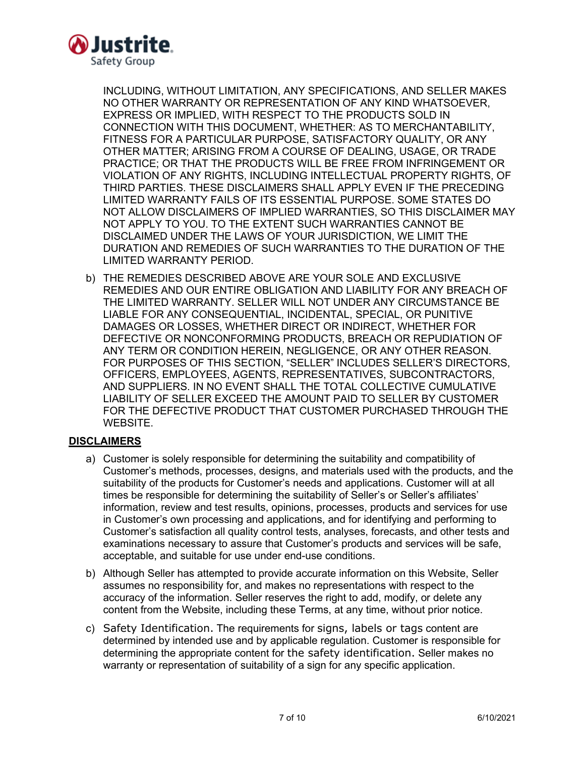

INCLUDING, WITHOUT LIMITATION, ANY SPECIFICATIONS, AND SELLER MAKES NO OTHER WARRANTY OR REPRESENTATION OF ANY KIND WHATSOEVER, EXPRESS OR IMPLIED, WITH RESPECT TO THE PRODUCTS SOLD IN CONNECTION WITH THIS DOCUMENT, WHETHER: AS TO MERCHANTABILITY, FITNESS FOR A PARTICULAR PURPOSE, SATISFACTORY QUALITY, OR ANY OTHER MATTER; ARISING FROM A COURSE OF DEALING, USAGE, OR TRADE PRACTICE; OR THAT THE PRODUCTS WILL BE FREE FROM INFRINGEMENT OR VIOLATION OF ANY RIGHTS, INCLUDING INTELLECTUAL PROPERTY RIGHTS, OF THIRD PARTIES. THESE DISCLAIMERS SHALL APPLY EVEN IF THE PRECEDING LIMITED WARRANTY FAILS OF ITS ESSENTIAL PURPOSE. SOME STATES DO NOT ALLOW DISCLAIMERS OF IMPLIED WARRANTIES, SO THIS DISCLAIMER MAY NOT APPLY TO YOU. TO THE EXTENT SUCH WARRANTIES CANNOT BE DISCLAIMED UNDER THE LAWS OF YOUR JURISDICTION, WE LIMIT THE DURATION AND REMEDIES OF SUCH WARRANTIES TO THE DURATION OF THE LIMITED WARRANTY PERIOD.

b) THE REMEDIES DESCRIBED ABOVE ARE YOUR SOLE AND EXCLUSIVE REMEDIES AND OUR ENTIRE OBLIGATION AND LIABILITY FOR ANY BREACH OF THE LIMITED WARRANTY. SELLER WILL NOT UNDER ANY CIRCUMSTANCE BE LIABLE FOR ANY CONSEQUENTIAL, INCIDENTAL, SPECIAL, OR PUNITIVE DAMAGES OR LOSSES, WHETHER DIRECT OR INDIRECT, WHETHER FOR DEFECTIVE OR NONCONFORMING PRODUCTS, BREACH OR REPUDIATION OF ANY TERM OR CONDITION HEREIN, NEGLIGENCE, OR ANY OTHER REASON. FOR PURPOSES OF THIS SECTION, "SELLER" INCLUDES SELLER'S DIRECTORS, OFFICERS, EMPLOYEES, AGENTS, REPRESENTATIVES, SUBCONTRACTORS, AND SUPPLIERS. IN NO EVENT SHALL THE TOTAL COLLECTIVE CUMULATIVE LIABILITY OF SELLER EXCEED THE AMOUNT PAID TO SELLER BY CUSTOMER FOR THE DEFECTIVE PRODUCT THAT CUSTOMER PURCHASED THROUGH THE WEBSITE.

# **DISCLAIMERS**

- a) Customer is solely responsible for determining the suitability and compatibility of Customer's methods, processes, designs, and materials used with the products, and the suitability of the products for Customer's needs and applications. Customer will at all times be responsible for determining the suitability of Seller's or Seller's affiliates' information, review and test results, opinions, processes, products and services for use in Customer's own processing and applications, and for identifying and performing to Customer's satisfaction all quality control tests, analyses, forecasts, and other tests and examinations necessary to assure that Customer's products and services will be safe, acceptable, and suitable for use under end-use conditions.
- b) Although Seller has attempted to provide accurate information on this Website, Seller assumes no responsibility for, and makes no representations with respect to the accuracy of the information. Seller reserves the right to add, modify, or delete any content from the Website, including these Terms, at any time, without prior notice.
- c) Safety Identification. The requirements for signs, labels or tags content are determined by intended use and by applicable regulation. Customer is responsible for determining the appropriate content for the safety identification. Seller makes no warranty or representation of suitability of a sign for any specific application.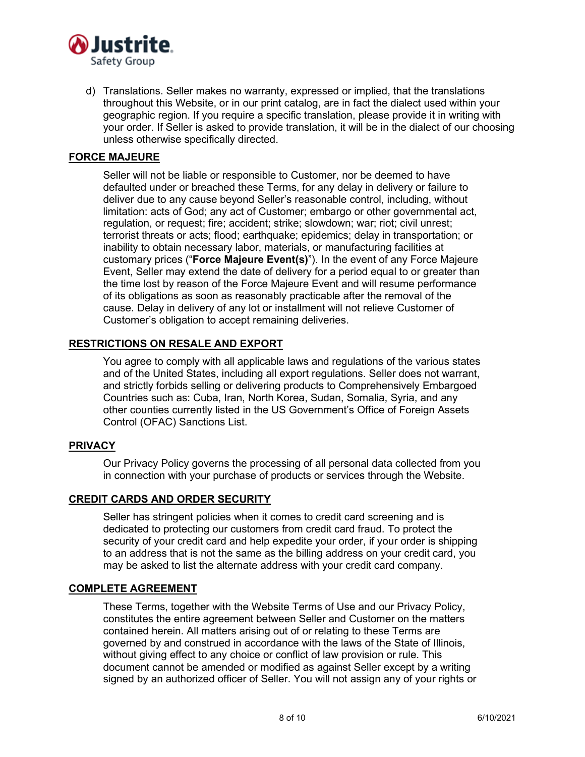

d) Translations. Seller makes no warranty, expressed or implied, that the translations throughout this Website, or in our print catalog, are in fact the dialect used within your geographic region. If you require a specific translation, please provide it in writing with your order. If Seller is asked to provide translation, it will be in the dialect of our choosing unless otherwise specifically directed.

### **FORCE MAJEURE**

Seller will not be liable or responsible to Customer, nor be deemed to have defaulted under or breached these Terms, for any delay in delivery or failure to deliver due to any cause beyond Seller's reasonable control, including, without limitation: acts of God; any act of Customer; embargo or other governmental act, regulation, or request; fire; accident; strike; slowdown; war; riot; civil unrest; terrorist threats or acts; flood; earthquake; epidemics; delay in transportation; or inability to obtain necessary labor, materials, or manufacturing facilities at customary prices ("**Force Majeure Event(s)**"). In the event of any Force Majeure Event, Seller may extend the date of delivery for a period equal to or greater than the time lost by reason of the Force Majeure Event and will resume performance of its obligations as soon as reasonably practicable after the removal of the cause. Delay in delivery of any lot or installment will not relieve Customer of Customer's obligation to accept remaining deliveries.

### **RESTRICTIONS ON RESALE AND EXPORT**

You agree to comply with all applicable laws and regulations of the various states and of the United States, including all export regulations. Seller does not warrant, and strictly forbids selling or delivering products to Comprehensively Embargoed Countries such as: Cuba, Iran, North Korea, Sudan, Somalia, Syria, and any other counties currently listed in the US Government's Office of Foreign Assets Control (OFAC) Sanctions List.

### **PRIVACY**

Our Privacy Policy governs the processing of all personal data collected from you in connection with your purchase of products or services through the Website.

### **CREDIT CARDS AND ORDER SECURITY**

Seller has stringent policies when it comes to credit card screening and is dedicated to protecting our customers from credit card fraud. To protect the security of your credit card and help expedite your order, if your order is shipping to an address that is not the same as the billing address on your credit card, you may be asked to list the alternate address with your credit card company.

### **COMPLETE AGREEMENT**

These Terms, together with the Website Terms of Use and our Privacy Policy, constitutes the entire agreement between Seller and Customer on the matters contained herein. All matters arising out of or relating to these Terms are governed by and construed in accordance with the laws of the State of Illinois, without giving effect to any choice or conflict of law provision or rule. This document cannot be amended or modified as against Seller except by a writing signed by an authorized officer of Seller. You will not assign any of your rights or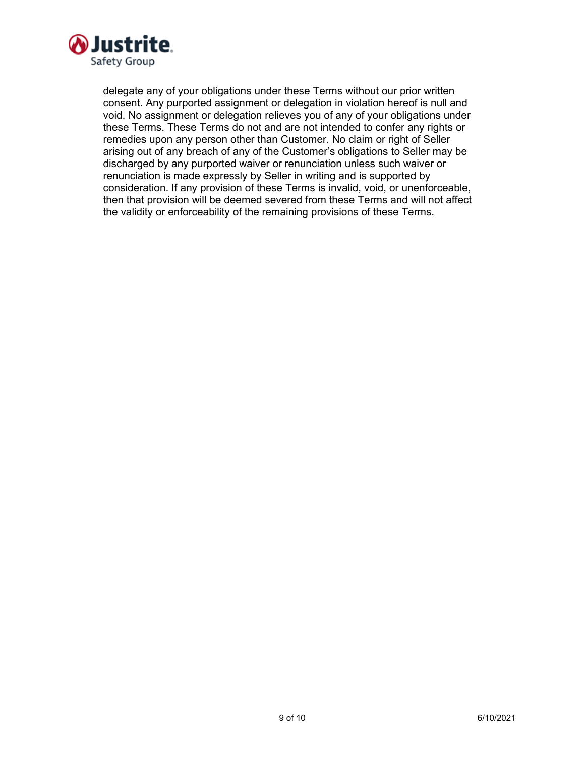

delegate any of your obligations under these Terms without our prior written consent. Any purported assignment or delegation in violation hereof is null and void. No assignment or delegation relieves you of any of your obligations under these Terms. These Terms do not and are not intended to confer any rights or remedies upon any person other than Customer. No claim or right of Seller arising out of any breach of any of the Customer's obligations to Seller may be discharged by any purported waiver or renunciation unless such waiver or renunciation is made expressly by Seller in writing and is supported by consideration. If any provision of these Terms is invalid, void, or unenforceable, then that provision will be deemed severed from these Terms and will not affect the validity or enforceability of the remaining provisions of these Terms.